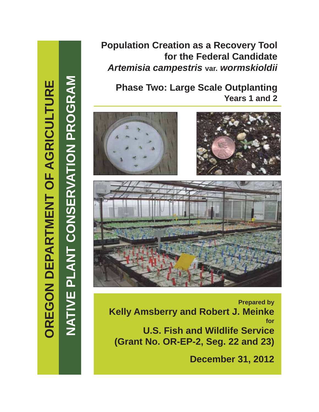**NATIVE PLANT CONSERVATION PROGRAM**

NATIVE PLANT CONSERVATION PROGRAM

# **Population Creation as a Recovery Tool for the Federal Candidate**  *Artemisia campestris* **var.** *wormskioldii*

**Phase Two: Large Scale Outplanting Years 1 and 2**







**Prepared by Kelly Amsberry and Robert J. Meinke for U.S. Fish and Wildlife Service (Grant No. OR-EP-2, Seg. 22 and 23)**

**December 31, 2012**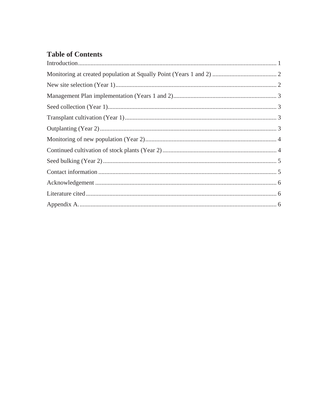## **Table of Contents**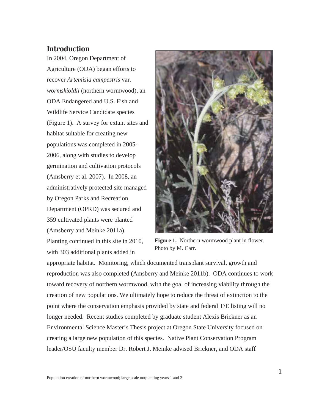### **Introduction**

In 2004, Oregon Department of Agriculture (ODA) began efforts to recover *Artemisia campestris* var*. wormskioldii* (northern wormwood), an ODA Endangered and U.S. Fish and Wildlife Service Candidate species (Figure 1). A survey for extant sites and habitat suitable for creating new populations was completed in 2005- 2006, along with studies to develop germination and cultivation protocols (Amsberry et al. 2007). In 2008, an administratively protected site managed by Oregon Parks and Recreation Department (OPRD) was secured and 359 cultivated plants were planted (Amsberry and Meinke 2011a). Planting continued in this site in 2010, with 303 additional plants added in



**Figure 1.** Northern wormwood plant in flower. Photo by M. Carr.

appropriate habitat. Monitoring, which documented transplant survival, growth and reproduction was also completed (Amsberry and Meinke 2011b). ODA continues to work toward recovery of northern wormwood, with the goal of increasing viability through the creation of new populations. We ultimately hope to reduce the threat of extinction to the point where the conservation emphasis provided by state and federal T/E listing will no longer needed. Recent studies completed by graduate student Alexis Brickner as an Environmental Science Master's Thesis project at Oregon State University focused on creating a large new population of this species. Native Plant Conservation Program leader/OSU faculty member Dr. Robert J. Meinke advised Brickner, and ODA staff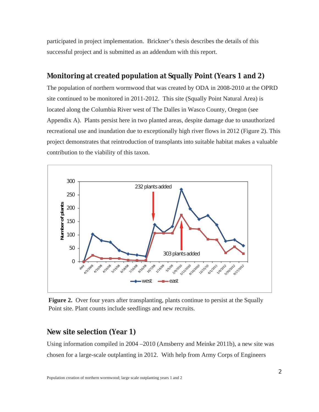participated in project implementation. Brickner's thesis describes the details of this successful project and is submitted as an addendum with this report.

### **Monitoring at created population at Squally Point (Years 1 and 2)**

The population of northern wormwood that was created by ODA in 2008-2010 at the OPRD site continued to be monitored in 2011-2012. This site (Squally Point Natural Area) is located along the Columbia River west of The Dalles in Wasco County, Oregon (see Appendix A). Plants persist here in two planted areas, despite damage due to unauthorized recreational use and inundation due to exceptionally high river flows in 2012 (Figure 2). This project demonstrates that reintroduction of transplants into suitable habitat makes a valuable contribution to the viability of this taxon.



**Figure 2.** Over four years after transplanting, plants continue to persist at the Squally Point site. Plant counts include seedlings and new recruits.

#### **New site selection (Year 1)**

Using information compiled in 2004 –2010 (Amsberry and Meinke 2011b), a new site was chosen for a large-scale outplanting in 2012. With help from Army Corps of Engineers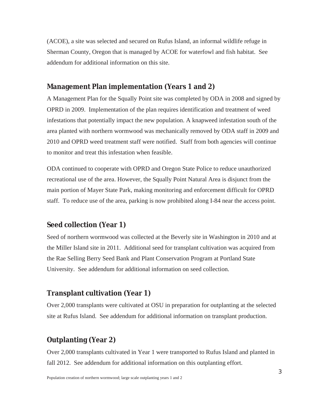(ACOE), a site was selected and secured on Rufus Island, an informal wildlife refuge in Sherman County, Oregon that is managed by ACOE for waterfowl and fish habitat. See addendum for additional information on this site.

#### **Management Plan implementation (Years 1 and 2)**

A Management Plan for the Squally Point site was completed by ODA in 2008 and signed by OPRD in 2009. Implementation of the plan requires identification and treatment of weed infestations that potentially impact the new population. A knapweed infestation south of the area planted with northern wormwood was mechanically removed by ODA staff in 2009 and 2010 and OPRD weed treatment staff were notified. Staff from both agencies will continue to monitor and treat this infestation when feasible.

ODA continued to cooperate with OPRD and Oregon State Police to reduce unauthorized recreational use of the area. However, the Squally Point Natural Area is disjunct from the main portion of Mayer State Park, making monitoring and enforcement difficult for OPRD staff. To reduce use of the area, parking is now prohibited along I-84 near the access point.

#### **Seed collection (Year 1)**

Seed of northern wormwood was collected at the Beverly site in Washington in 2010 and at the Miller Island site in 2011. Additional seed for transplant cultivation was acquired from the Rae Selling Berry Seed Bank and Plant Conservation Program at Portland State University. See addendum for additional information on seed collection.

#### **Transplant cultivation (Year 1)**

Over 2,000 transplants were cultivated at OSU in preparation for outplanting at the selected site at Rufus Island. See addendum for additional information on transplant production.

#### **Outplanting (Year 2)**

Over 2,000 transplants cultivated in Year 1 were transported to Rufus Island and planted in fall 2012. See addendum for additional information on this outplanting effort.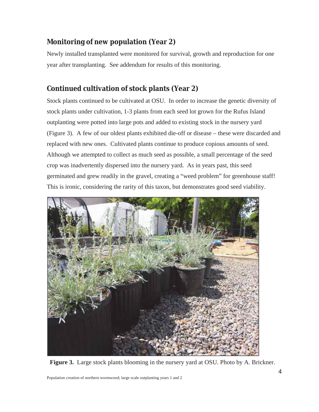## **Monitoring of new population (Year 2)**

Newly installed transplanted were monitored for survival, growth and reproduction for one year after transplanting. See addendum for results of this monitoring.

## **Continued cultivation of stock plants (Year 2)**

Stock plants continued to be cultivated at OSU. In order to increase the genetic diversity of stock plants under cultivation, 1-3 plants from each seed lot grown for the Rufus Island outplanting were potted into large pots and added to existing stock in the nursery yard (Figure 3). A few of our oldest plants exhibited die-off or disease – these were discarded and replaced with new ones. Cultivated plants continue to produce copious amounts of seed. Although we attempted to collect as much seed as possible, a small percentage of the seed crop was inadvertently dispersed into the nursery yard. As in years past, this seed germinated and grew readily in the gravel, creating a "weed problem" for greenhouse staff! This is ironic, considering the rarity of this taxon, but demonstrates good seed viability.



**Figure 3.** Large stock plants blooming in the nursery yard at OSU. Photo by A. Brickner.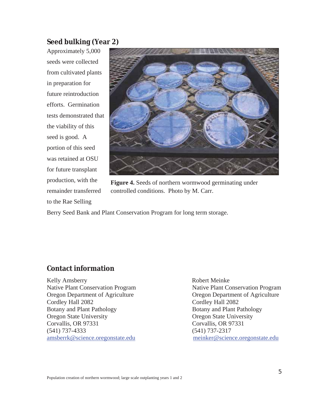#### **Seed bulking (Year 2)**

Approximately 5,000 seeds were collected from cultivated plants in preparation for future reintroduction efforts. Germination tests demonstrated that the viability of this seed is good. A portion of this seed was retained at OSU for future transplant production, with the remainder transferred to the Rae Selling



**Figure 4.** Seeds of northern wormwood germinating under controlled conditions. Photo by M. Carr.

Berry Seed Bank and Plant Conservation Program for long term storage.

#### **Contact information**

Kelly Amsberry **Robert Meinke** Native Plant Conservation Program Native Plant Conservation Program Oregon Department of Agriculture Oregon Department of Agriculture Cordley Hall 2082 Cordley Hall 2082 Botany and Plant Pathology Botany and Plant Pathology Oregon State University Oregon State University Corvallis, OR 97331 Corvallis, OR 97331 (541) 737-4333 (541) 737-2317 amsberrk@science.oregonstate.edu meinker@science.oregonstate.edu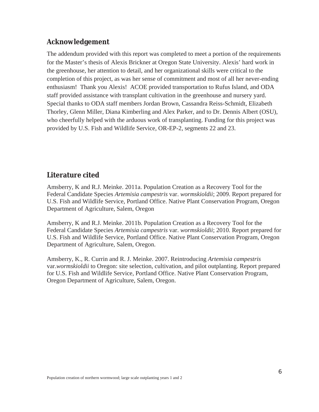## **Acknowledgement**

The addendum provided with this report was completed to meet a portion of the requirements for the Master's thesis of Alexis Brickner at Oregon State University. Alexis' hard work in the greenhouse, her attention to detail, and her organizational skills were critical to the completion of this project, as was her sense of commitment and most of all her never-ending enthusiasm! Thank you Alexis! ACOE provided transportation to Rufus Island, and ODA staff provided assistance with transplant cultivation in the greenhouse and nursery yard. Special thanks to ODA staff members Jordan Brown, Cassandra Reiss-Schmidt, Elizabeth Thorley, Glenn Miller, Diana Kimberling and Alex Parker, and to Dr. Dennis Albert (OSU), who cheerfully helped with the arduous work of transplanting. Funding for this project was provided by U.S. Fish and Wildlife Service, OR-EP-2, segments 22 and 23.

## **Literature cited**

Amsberry, K and R.J. Meinke. 2011a. Population Creation as a Recovery Tool for the Federal Candidate Species *Artemisia campestris* var. *wormskioldii*; 2009. Report prepared for U.S. Fish and Wildlife Service, Portland Office. Native Plant Conservation Program, Oregon Department of Agriculture, Salem, Oregon

Amsberry, K and R.J. Meinke. 2011b. Population Creation as a Recovery Tool for the Federal Candidate Species *Artemisia campestris* var. *wormskioldii*; 2010. Report prepared for U.S. Fish and Wildlife Service, Portland Office. Native Plant Conservation Program, Oregon Department of Agriculture, Salem, Oregon.

Amsberry, K., R. Currin and R. J. Meinke. 2007. Reintroducing *Artemisia campestris*  var.*wormskioldii* to Oregon: site selection, cultivation, and pilot outplanting. Report prepared for U.S. Fish and Wildlife Service, Portland Office. Native Plant Conservation Program, Oregon Department of Agriculture, Salem, Oregon.